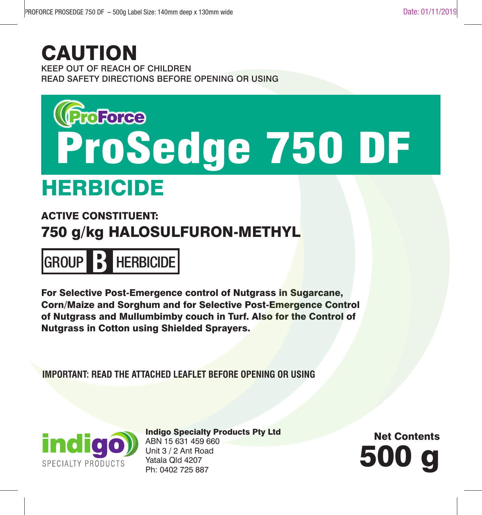#### KEEP OUT OF REACH OF CHILDREN READ SAFETY DIRECTIONS BEFORE OPENING OR USING **CAUTION**

# ProSedge 750 DF

## HERBICIDE

#### ACTIVE CONSTITUENT: 750 g/kg HALOSULFURON-METHYL



For Selective Post-Emergence control of Nutgrass in Sugarcane, Corn/Maize and Sorghum and for Selective Post-Emergence Control of Nutgrass and Mullumbimby couch in Turf. Also for the Control of Nutgrass in Cotton using Shielded Sprayers.

**IMPORTANT: READ THE ATTACHED LEAFLET BEFORE OPENING OR USING**



Indigo Specialty Products Pty Ltd ABN 15 631 459 660 Unit 3 / 2 Ant Road Yatala Qld 4207 Unit 3 / 2 Ant Road<br>Yatala Qld 4207<br>Ph: 0402 725 887

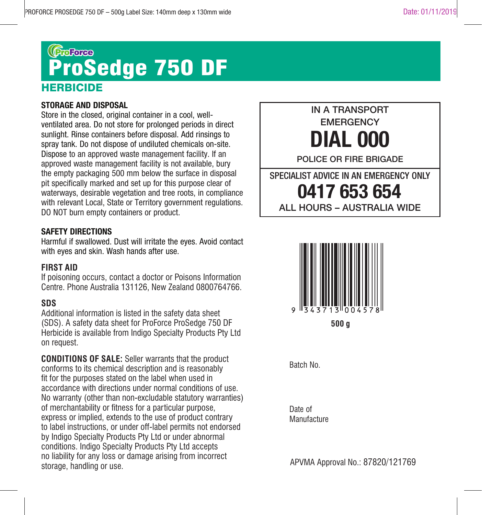#### (Broforce) ProSedge 750 DF**HERBICIDE**

#### **STORAGE AND DISPOSAL**

Store in the closed, original container in a cool, wellventilated area. Do not store for prolonged periods in direct sunlight. Rinse containers before disposal. Add rinsings to spray tank. Do not dispose of undiluted chemicals on-site. Dispose to an approved waste management facility. If an approved waste management facility is not available, bury the empty packaging 500 mm below the surface in disposal pit specifically marked and set up for this purpose clear of waterways, desirable vegetation and tree roots, in compliance with relevant Local, State or Territory government regulations. DO NOT burn empty containers or product.

#### **SAFETY DIRECTIONS**

Harmful if swallowed. Dust will irritate the eyes. Avoid contact with eyes and skin. Wash hands after use.

#### **FIRST AID**

If poisoning occurs, contact a doctor or Poisons Information Centre. Phone Australia 131126, New Zealand 0800764766.

#### **SDS**

Additional information is listed in the safety data sheet (SDS). A safety data sheet for ProForce ProSedge 750 DF Herbicide is available from Indigo Specialty Products Pty Ltd on request.

**CONDITIONS OF SALE:** Seller warrants that the product conforms to its chemical description and is reasonably fit for the purposes stated on the label when used in accordance with directions under normal conditions of use. No warranty (other than non-excludable statutory warranties) of merchantability or fitness for a particular purpose, express or implied, extends to the use of product contrary to label instructions, or under off-label permits not endorsed by Indigo Specialty Products Pty Ltd or under abnormal conditions. Indigo Specialty Products Pty Ltd accepts no liability for any loss or damage arising from incorrect storage, handling or use.





Batch No.

Date of Manufacture

APVMA Approval No.: 87820/121769